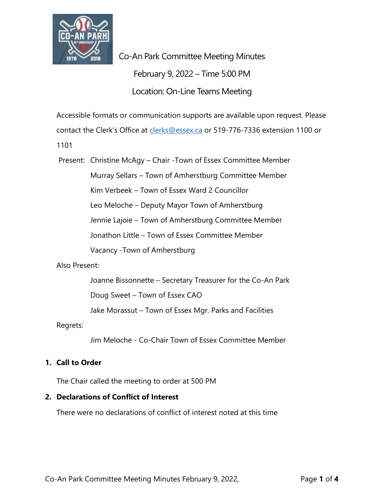

Co-An Park Committee Meeting Minutes February 9, 2022 – Time 5:00 PM Location: On-Line Teams Meeting

Accessible formats or communication supports are available upon request. Please

contact the Clerk's Office at [clerks@essex.ca](mailto:clerks@essex.ca) or 519-776-7336 extension 1100 or

1101

Present: Christine McAgy – Chair -Town of Essex Committee Member Murray Sellars – Town of Amherstburg Committee Member Kim Verbeek – Town of Essex Ward 2 Councillor Leo Meloche – Deputy Mayor Town of Amherstburg Jennie Lajoie – Town of Amherstburg Committee Member Jonathon Little – Town of Essex Committee Member Vacancy -Town of Amherstburg

#### Also Present:

Joanne Bissonnette – Secretary Treasurer for the Co-An Park

Doug Sweet – Town of Essex CAO

Jake Morassut – Town of Essex Mgr. Parks and Facilities

Regrets:

Jim Meloche - Co-Chair Town of Essex Committee Member

# **1. Call to Order**

The Chair called the meeting to order at 500 PM

# **2. Declarations of Conflict of Interest**

There were no declarations of conflict of interest noted at this time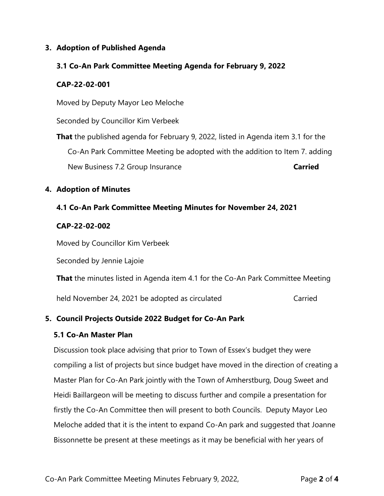### **3. Adoption of Published Agenda**

### **3.1 Co-An Park Committee Meeting Agenda for February 9, 2022**

#### **CAP-22-02-001**

Moved by Deputy Mayor Leo Meloche

Seconded by Councillor Kim Verbeek

**That** the published agenda for February 9, 2022, listed in Agenda item 3.1 for the Co-An Park Committee Meeting be adopted with the addition to Item 7. adding New Business 7.2 Group Insurance **Carried** 

# **4. Adoption of Minutes**

### **4.1 Co-An Park Committee Meeting Minutes for November 24, 2021**

#### **CAP-22-02-002**

Moved by Councillor Kim Verbeek

Seconded by Jennie Lajoie

**That** the minutes listed in Agenda item 4.1 for the Co-An Park Committee Meeting

held November 24, 2021 be adopted as circulated Carried

# **5. Council Projects Outside 2022 Budget for Co-An Park**

#### **5.1 Co-An Master Plan**

Discussion took place advising that prior to Town of Essex's budget they were compiling a list of projects but since budget have moved in the direction of creating a Master Plan for Co-An Park jointly with the Town of Amherstburg, Doug Sweet and Heidi Baillargeon will be meeting to discuss further and compile a presentation for firstly the Co-An Committee then will present to both Councils. Deputy Mayor Leo Meloche added that it is the intent to expand Co-An park and suggested that Joanne Bissonnette be present at these meetings as it may be beneficial with her years of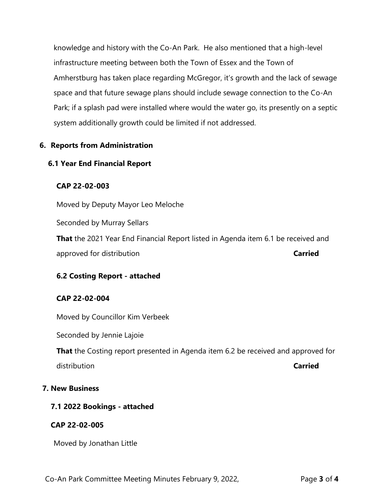knowledge and history with the Co-An Park. He also mentioned that a high-level infrastructure meeting between both the Town of Essex and the Town of Amherstburg has taken place regarding McGregor, it's growth and the lack of sewage space and that future sewage plans should include sewage connection to the Co-An Park; if a splash pad were installed where would the water go, its presently on a septic system additionally growth could be limited if not addressed.

#### **6. Reports from Administration**

#### **6.1 Year End Financial Report**

#### **CAP 22-02-003**

Moved by Deputy Mayor Leo Meloche

Seconded by Murray Sellars

**That** the 2021 Year End Financial Report listed in Agenda item 6.1 be received and approved for distribution **Carried**

#### **6.2 Costing Report - attached**

#### **CAP 22-02-004**

Moved by Councillor Kim Verbeek

Seconded by Jennie Lajoie

**That** the Costing report presented in Agenda item 6.2 be received and approved for distribution **Carried**

#### **7. New Business**

#### **7.1 2022 Bookings - attached**

#### **CAP 22-02-005**

Moved by Jonathan Little